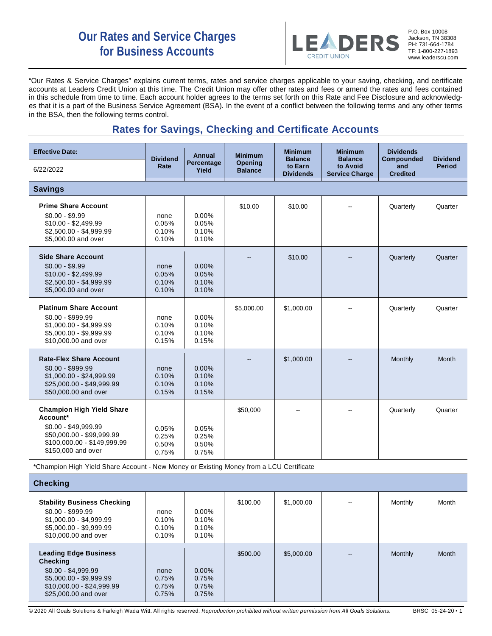# **Our Rates and Service Charges for Business Accounts**



P.O. Box 10008 Jackson, TN 38308 PH: 731-664-1784 TF: 1-800-227-1893 www.leaderscu.com

"Our Rates & Service Charges" explains current terms, rates and service charges applicable to your saving, checking, and certificate accounts at Leaders Credit Union at this time. The Credit Union may offer other rates and fees or amend the rates and fees contained in this schedule from time to time. Each account holder agrees to the terms set forth on this Rate and Fee Disclosure and acknowledges that it is a part of the Business Service Agreement (BSA). In the event of a conflict between the following terms and any other terms in the BSA, then the following terms control.

## **Rates for Savings, Checking and Certificate Accounts**

| <b>Effective Date:</b>                                                                                                                                 | <b>Dividend</b><br>Rate          | Annual<br>Percentage<br>Yield       | <b>Minimum</b><br><b>Opening</b><br><b>Balance</b> | <b>Minimum</b><br><b>Balance</b><br>to Earn<br><b>Dividends</b> | <b>Minimum</b><br><b>Balance</b><br>to Avoid<br><b>Service Charge</b> | <b>Dividends</b><br>Compounded<br>and<br><b>Credited</b> | <b>Dividend</b><br><b>Period</b> |
|--------------------------------------------------------------------------------------------------------------------------------------------------------|----------------------------------|-------------------------------------|----------------------------------------------------|-----------------------------------------------------------------|-----------------------------------------------------------------------|----------------------------------------------------------|----------------------------------|
| 6/22/2022                                                                                                                                              |                                  |                                     |                                                    |                                                                 |                                                                       |                                                          |                                  |
| <b>Savings</b>                                                                                                                                         |                                  |                                     |                                                    |                                                                 |                                                                       |                                                          |                                  |
| <b>Prime Share Account</b><br>$$0.00 - $9.99$<br>$$10.00 - $2,499.99$<br>$$2,500.00 - $4,999.99$<br>\$5,000.00 and over                                | none<br>0.05%<br>0.10%<br>0.10%  | $0.00\%$<br>0.05%<br>0.10%<br>0.10% | \$10.00                                            | \$10.00                                                         |                                                                       | Quarterly                                                | Quarter                          |
| <b>Side Share Account</b><br>$$0.00 - $9.99$<br>$$10.00 - $2,499.99$<br>\$2,500.00 - \$4,999.99<br>\$5,000.00 and over                                 | none<br>0.05%<br>0.10%<br>0.10%  | 0.00%<br>0.05%<br>0.10%<br>0.10%    |                                                    | \$10.00                                                         |                                                                       | Quarterly                                                | Quarter                          |
| <b>Platinum Share Account</b><br>$$0.00 - $999.99$<br>$$1,000.00 - $4,999.99$<br>\$5,000.00 - \$9,999.99<br>\$10,000.00 and over                       | none<br>0.10%<br>0.10%<br>0.15%  | $0.00\%$<br>0.10%<br>0.10%<br>0.15% | \$5,000.00                                         | \$1,000.00                                                      |                                                                       | Quarterly                                                | Quarter                          |
| <b>Rate-Flex Share Account</b><br>$$0.00 - $999.99$<br>\$1,000.00 - \$24,999.99<br>\$25,000.00 - \$49,999.99<br>\$50,000.00 and over                   | none<br>0.10%<br>0.10%<br>0.15%  | 0.00%<br>0.10%<br>0.10%<br>0.15%    | --                                                 | \$1,000.00                                                      |                                                                       | Monthly                                                  | Month                            |
| <b>Champion High Yield Share</b><br>Account*<br>\$0.00 - \$49,999.99<br>\$50.000.00 - \$99.999.99<br>\$100,000.00 - \$149,999.99<br>\$150,000 and over | 0.05%<br>0.25%<br>0.50%<br>0.75% | 0.05%<br>0.25%<br>0.50%<br>0.75%    | \$50,000                                           |                                                                 |                                                                       | Quarterly                                                | Quarter                          |
| *Champion High Yield Share Account - New Money or Existing Money from a LCU Certificate<br><b>Checking</b>                                             |                                  |                                     |                                                    |                                                                 |                                                                       |                                                          |                                  |

| --------                                                                                                                                        |                                 |                                           |          |            |    |         |       |
|-------------------------------------------------------------------------------------------------------------------------------------------------|---------------------------------|-------------------------------------------|----------|------------|----|---------|-------|
| <b>Stability Business Checking</b><br>$$0.00 - $999.99$<br>$$1,000.00 - $4,999.99$<br>$$5,000.00 - $9,999.99$<br>\$10,000.00 and over           | none<br>0.10%<br>0.10%<br>0.10% | $0.00\%$<br>$0.10\%$<br>0.10%<br>$0.10\%$ | \$100.00 | \$1,000.00 | -- | Monthly | Month |
| <b>Leading Edge Business</b><br>Checking<br>$$0.00 - $4,999.99$<br>$$5,000.00 - $9,999.99$<br>\$10,000.00 - \$24,999.99<br>\$25,000,00 and over | none<br>0.75%<br>0.75%<br>0.75% | $0.00\%$<br>0.75%<br>0.75%<br>0.75%       | \$500.00 | \$5,000.00 |    | Monthly | Month |

© 2020 All Goals Solutions & Farleigh Wada Witt. All rights reserved. *Reproduction prohibited without written permission from All Goals Solutions.* BRSC 05-24-20 ▪ 1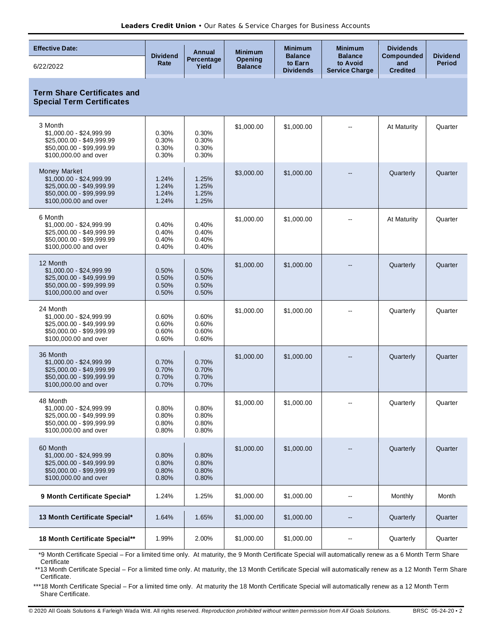| <b>Effective Date:</b>                                                                                                             |                                  | Annual                           | <b>Minimum</b>                   | <b>Minimum</b>                                | <b>Minimum</b>                                      | <b>Dividends</b>                            |                                  |
|------------------------------------------------------------------------------------------------------------------------------------|----------------------------------|----------------------------------|----------------------------------|-----------------------------------------------|-----------------------------------------------------|---------------------------------------------|----------------------------------|
| 6/22/2022                                                                                                                          | <b>Dividend</b><br>Rate          | Percentage<br>Yield              | <b>Opening</b><br><b>Balance</b> | <b>Balance</b><br>to Earn<br><b>Dividends</b> | <b>Balance</b><br>to Avoid<br><b>Service Charge</b> | <b>Compounded</b><br>and<br><b>Credited</b> | <b>Dividend</b><br><b>Period</b> |
| <b>Term Share Certificates and</b><br><b>Special Term Certificates</b>                                                             |                                  |                                  |                                  |                                               |                                                     |                                             |                                  |
| 3 Month<br>\$1,000.00 - \$24,999.99<br>\$25,000.00 - \$49,999.99<br>\$50,000.00 - \$99,999.99<br>\$100,000.00 and over             | 0.30%<br>0.30%<br>0.30%<br>0.30% | 0.30%<br>0.30%<br>0.30%<br>0.30% | \$1,000.00                       | \$1,000.00                                    |                                                     | At Maturity                                 | Quarter                          |
| <b>Money Market</b><br>\$1,000.00 - \$24,999.99<br>\$25,000.00 - \$49,999.99<br>\$50,000.00 - \$99,999.99<br>\$100,000.00 and over | 1.24%<br>1.24%<br>1.24%<br>1.24% | 1.25%<br>1.25%<br>1.25%<br>1.25% | \$3,000.00                       | \$1,000.00                                    |                                                     | Quarterly                                   | Quarter                          |
| 6 Month<br>\$1,000.00 - \$24,999.99<br>\$25,000.00 - \$49,999.99<br>\$50,000.00 - \$99,999.99<br>\$100,000.00 and over             | 0.40%<br>0.40%<br>0.40%<br>0.40% | 0.40%<br>0.40%<br>0.40%<br>0.40% | \$1,000.00                       | \$1,000.00                                    |                                                     | At Maturity                                 | Quarter                          |
| 12 Month<br>$$1,000.00 - $24,999.99$<br>\$25,000.00 - \$49,999.99<br>\$50,000.00 - \$99,999.99<br>\$100,000.00 and over            | 0.50%<br>0.50%<br>0.50%<br>0.50% | 0.50%<br>0.50%<br>0.50%<br>0.50% | \$1,000.00                       | \$1,000.00                                    |                                                     | Quarterly                                   | Quarter                          |
| 24 Month<br>\$1,000.00 - \$24,999.99<br>\$25,000.00 - \$49,999.99<br>\$50,000.00 - \$99,999.99<br>\$100,000.00 and over            | 0.60%<br>0.60%<br>0.60%<br>0.60% | 0.60%<br>0.60%<br>0.60%<br>0.60% | \$1,000.00                       | \$1,000.00                                    |                                                     | Quarterly                                   | Quarter                          |
| 36 Month<br>$$1,000.00 - $24,999.99$<br>\$25,000.00 - \$49,999.99<br>\$50,000.00 - \$99,999.99<br>\$100,000.00 and over            | 0.70%<br>0.70%<br>0.70%<br>0.70% | 0.70%<br>0.70%<br>0.70%<br>0.70% | \$1,000.00                       | \$1,000.00                                    |                                                     | Quarterly                                   | Quarter                          |
| 48 Month<br>\$1,000.00 - \$24,999.99<br>\$25,000.00 - \$49,999.99<br>\$50,000.00 - \$99,999.99<br>\$100,000.00 and over            | 0.80%<br>0.80%<br>0.80%<br>0.80% | 0.80%<br>0.80%<br>0.80%<br>0.80% | \$1,000.00                       | \$1,000.00                                    |                                                     | Quarterly                                   | Quarter                          |
| 60 Month<br>\$1,000.00 - \$24,999.99<br>\$25,000.00 - \$49,999.99<br>\$50,000.00 - \$99,999.99<br>\$100,000.00 and over            | 0.80%<br>0.80%<br>0.80%<br>0.80% | 0.80%<br>0.80%<br>0.80%<br>0.80% | \$1,000.00                       | \$1,000.00                                    |                                                     | Quarterly                                   | Quarter                          |
| 9 Month Certificate Special*                                                                                                       | 1.24%                            | 1.25%                            | \$1,000.00                       | \$1,000.00                                    | н.                                                  | Monthly                                     | Month                            |
| 13 Month Certificate Special*                                                                                                      | 1.64%                            | 1.65%                            | \$1,000.00                       | \$1,000.00                                    |                                                     | Quarterly                                   | Quarter                          |
| 18 Month Certificate Special**                                                                                                     | 1.99%                            | 2.00%                            | \$1,000.00                       | \$1,000.00                                    | ⊷                                                   | Quarterly                                   | Quarter                          |

\*9 Month Certificate Special – For a limited time only. At maturity, the 9 Month Certificate Special will automatically renew as a 6 Month Term Share Certificate

\*\*13 Month Certificate Special - For a limited time only. At maturity, the 13 Month Certificate Special will automatically renew as a 12 Month Term Share Certificate.

\*\*\*18 Month Certificate Special – For a limited time only. At maturity the 18 Month Certificate Special will automatically renew as a 12 Month Term Share Certificate.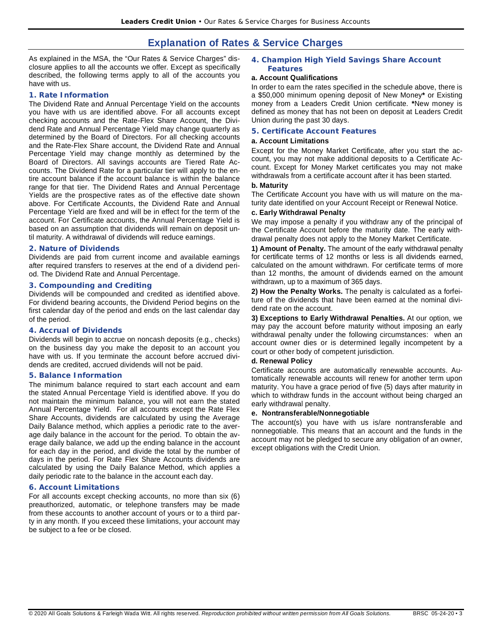### **Explanation of Rates & Service Charges**

As explained in the MSA, the "Our Rates & Service Charges" disclosure applies to all the accounts we offer. Except as specifically described, the following terms apply to all of the accounts you have with us.

#### **1. Rate Information**

The Dividend Rate and Annual Percentage Yield on the accounts you have with us are identified above. For all accounts except checking accounts and the Rate-Flex Share Account, the Dividend Rate and Annual Percentage Yield may change quarterly as determined by the Board of Directors. For all checking accounts and the Rate-Flex Share account, the Dividend Rate and Annual Percentage Yield may change monthly as determined by the Board of Directors. All savings accounts are Tiered Rate Accounts. The Dividend Rate for a particular tier will apply to the entire account balance if the account balance is within the balance range for that tier. The Dividend Rates and Annual Percentage Yields are the prospective rates as of the effective date shown above. For Certificate Accounts, the Dividend Rate and Annual Percentage Yield are fixed and will be in effect for the term of the account. For Certificate accounts, the Annual Percentage Yield is based on an assumption that dividends will remain on deposit until maturity. A withdrawal of dividends will reduce earnings.

#### **2. Nature of Dividends**

Dividends are paid from current income and available earnings after required transfers to reserves at the end of a dividend period. The Dividend Rate and Annual Percentage.

#### **3. Compounding and Crediting**

Dividends will be compounded and credited as identified above. For dividend bearing accounts, the Dividend Period begins on the first calendar day of the period and ends on the last calendar day of the period.

#### **4. Accrual of Dividends**

Dividends will begin to accrue on noncash deposits (e.g., checks) on the business day you make the deposit to an account you have with us. If you terminate the account before accrued dividends are credited, accrued dividends will not be paid.

#### **5. Balance Information**

The minimum balance required to start each account and earn the stated Annual Percentage Yield is identified above. If you do not maintain the minimum balance, you will not earn the stated Annual Percentage Yield. For all accounts except the Rate Flex Share Accounts, dividends are calculated by using the Average Daily Balance method, which applies a periodic rate to the average daily balance in the account for the period. To obtain the average daily balance, we add up the ending balance in the account for each day in the period, and divide the total by the number of days in the period. For Rate Flex Share Accounts dividends are calculated by using the Daily Balance Method, which applies a daily periodic rate to the balance in the account each day.

#### **6. Account Limitations**

For all accounts except checking accounts, no more than six (6) preauthorized, automatic, or telephone transfers may be made from these accounts to another account of yours or to a third party in any month. If you exceed these limitations, your account may be subject to a fee or be closed.

#### **4. Champion High Yield Savings Share Account Features**

#### **a. Account Qualifications**

In order to earn the rates specified in the schedule above, there is a \$50,000 minimum opening deposit of New Money**\*** or Existing money from a Leaders Credit Union certificate. **\***New money is defined as money that has not been on deposit at Leaders Credit Union during the past 30 days.

#### **5. Certificate Account Features**

#### **a. Account Limitations**

Except for the Money Market Certificate, after you start the account, you may not make additional deposits to a Certificate Account. Except for Money Market certificates you may not make withdrawals from a certificate account after it has been started.

#### **b. Maturity**

The Certificate Account you have with us will mature on the maturity date identified on your Account Receipt or Renewal Notice.

#### **c. Early Withdrawal Penalty**

We may impose a penalty if you withdraw any of the principal of the Certificate Account before the maturity date. The early withdrawal penalty does not apply to the Money Market Certificate.

**1) Amount of Penalty.** The amount of the early withdrawal penalty for certificate terms of 12 months or less is all dividends earned, calculated on the amount withdrawn. For certificate terms of more than 12 months, the amount of dividends earned on the amount withdrawn, up to a maximum of 365 days.

**2) How the Penalty Works.** The penalty is calculated as a forfeiture of the dividends that have been earned at the nominal dividend rate on the account.

**3) Exceptions to Early Withdrawal Penalties.** At our option, we may pay the account before maturity without imposing an early withdrawal penalty under the following circumstances: when an account owner dies or is determined legally incompetent by a court or other body of competent jurisdiction.

#### **d. Renewal Policy**

Certificate accounts are automatically renewable accounts. Automatically renewable accounts will renew for another term upon maturity. You have a grace period of five (5) days after maturity in which to withdraw funds in the account without being charged an early withdrawal penalty.

#### **e. Nontransferable/Nonnegotiable**

The account(s) you have with us is/are nontransferable and nonnegotiable. This means that an account and the funds in the account may not be pledged to secure any obligation of an owner, except obligations with the Credit Union.